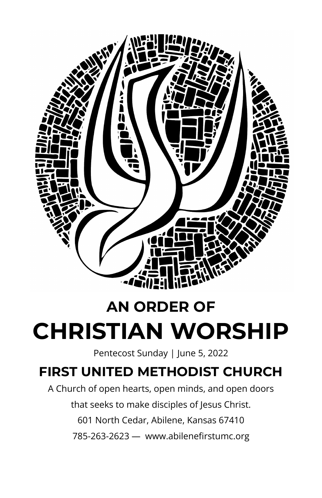

# **AN ORDER OF CHRISTIAN WORSHIP**

Pentecost Sunday | June 5, 2022

## **FIRST UNITED METHODIST CHURCH**

A Church of open hearts, open minds, and open doors that seeks to make disciples of Jesus Christ. 601 North Cedar, Abilene, Kansas 67410 785-263-2623 — www.abilenefirstumc.org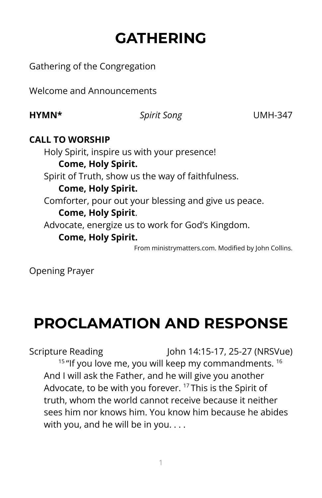# **GATHERING**

Gathering of the Congregation

Welcome and Announcements

**HYMN\*** *Spirit Song* UMH-347

#### **CALL TO WORSHIP**

Holy Spirit, inspire us with your presence! **Come, Holy Spirit.** Spirit of Truth, show us the way of faithfulness. **Come, Holy Spirit.** Comforter, pour out your blessing and give us peace. **Come, Holy Spirit**. Advocate, energize us to work for God's Kingdom. **Come, Holy Spirit.** From ministrymatters.com. Modified by John Collins.

Opening Prayer

# **PROCLAMATION AND RESPONSE**

Scripture Reading John 14:15-17, 25-27 (NRSVue)  $15$  "If you love me, you will keep my commandments.  $16$ And I will ask the Father, and he will give you another Advocate, to be with you forever. <sup>17</sup> This is the Spirit of truth, whom the world cannot receive because it neither sees him nor knows him. You know him because he abides with you, and he will be in you....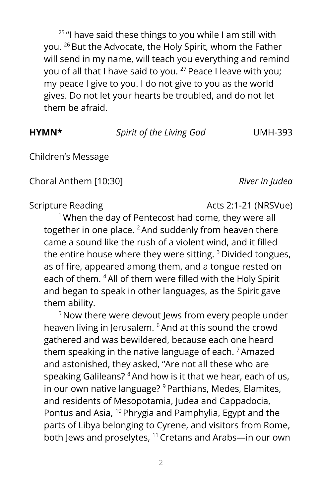<sup>25</sup> "I have said these things to you while I am still with you. <sup>26</sup> But the Advocate, the Holy Spirit, whom the Father will send in my name, will teach you everything and remind you of all that I have said to you. <sup>27</sup> Peace I leave with you; my peace I give to you. I do not give to you as the world gives. Do not let your hearts be troubled, and do not let them be afraid.

**HYMN\*** *Spirit of the Living God* UMH-393

Children's Message

Choral Anthem [10:30] *River in Judea*

Scripture Reading **Acts 2:1-21** (NRSVue)

<sup>1</sup> When the day of Pentecost had come, they were all together in one place.  ${}^{2}$  And suddenly from heaven there came a sound like the rush of a violent wind, and it filled the entire house where they were sitting. <sup>3</sup> Divided tongues, as of fire, appeared among them, and a tongue rested on each of them. <sup>4</sup>All of them were filled with the Holy Spirit and began to speak in other languages, as the Spirit gave them ability.

<sup>5</sup> Now there were devout Jews from every people under heaven living in Jerusalem. <sup>6</sup>And at this sound the crowd gathered and was bewildered, because each one heard them speaking in the native language of each. <sup>7</sup>Amazed and astonished, they asked, "Are not all these who are speaking Galileans? <sup>8</sup> And how is it that we hear, each of us, in our own native language? <sup>9</sup> Parthians, Medes, Elamites, and residents of Mesopotamia, Judea and Cappadocia, Pontus and Asia, <sup>10</sup> Phrygia and Pamphylia, Egypt and the parts of Libya belonging to Cyrene, and visitors from Rome, both Jews and proselytes, <sup>11</sup> Cretans and Arabs—in our own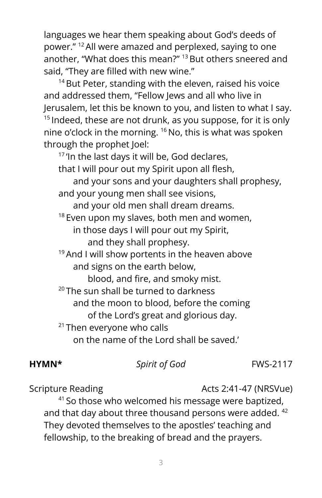languages we hear them speaking about God's deeds of power." <sup>12</sup>All were amazed and perplexed, saying to one another, "What does this mean?" <sup>13</sup>But others sneered and said, "They are filled with new wine."

<sup>14</sup> But Peter, standing with the eleven, raised his voice and addressed them, "Fellow Jews and all who live in Jerusalem, let this be known to you, and listen to what I say. <sup>15</sup> Indeed, these are not drunk, as you suppose, for it is only nine o'clock in the morning. <sup>16</sup> No, this is what was spoken through the prophet Joel:

<sup>17</sup> 'In the last days it will be, God declares,

that I will pour out my Spirit upon all flesh,

and your sons and your daughters shall prophesy, and your young men shall see visions,

and your old men shall dream dreams.

 $18$  Even upon my slaves, both men and women,

in those days I will pour out my Spirit, and they shall prophesy.

<sup>19</sup> And I will show portents in the heaven above and signs on the earth below,

blood, and fire, and smoky mist.

 $20$  The sun shall be turned to darkness

and the moon to blood, before the coming

of the Lord's great and glorious day.

<sup>21</sup> Then everyone who calls

on the name of the Lord shall be saved.'

#### **HYMN\*** *Spirit of God* FWS-2117

Scripture Reading The Contract Contracts 2:41-47 (NRSVue)

<sup>41</sup> So those who welcomed his message were baptized, and that day about three thousand persons were added. 42 They devoted themselves to the apostles' teaching and fellowship, to the breaking of bread and the prayers.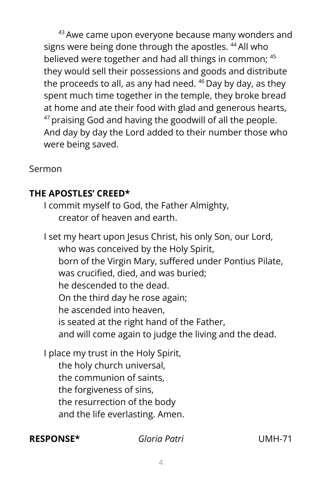<sup>43</sup> Awe came upon everyone because many wonders and signs were being done through the apostles. <sup>44</sup>All who believed were together and had all things in common; 45 they would sell their possessions and goods and distribute the proceeds to all, as any had need. <sup>46</sup> Day by day, as they spent much time together in the temple, they broke bread at home and ate their food with glad and generous hearts, <sup>47</sup> praising God and having the goodwill of all the people. And day by day the Lord added to their number those who were being saved.

Sermon

#### **THE APOSTLES' CREED\***

I commit myself to God, the Father Almighty, creator of heaven and earth.

I set my heart upon Jesus Christ, his only Son, our Lord, who was conceived by the Holy Spirit, born of the Virgin Mary, suffered under Pontius Pilate, was crucified, died, and was buried; he descended to the dead. On the third day he rose again; he ascended into heaven, is seated at the right hand of the Father, and will come again to judge the living and the dead.

I place my trust in the Holy Spirit,

the holy church universal, the communion of saints, the forgiveness of sins, the resurrection of the body and the life everlasting. Amen.

#### **RESPONSE\*** *Gloria Patri* UMH-71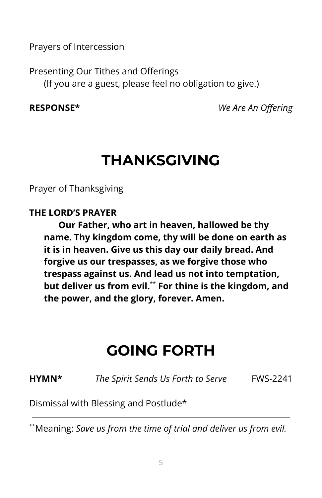Prayers of Intercession

Presenting Our Tithes and Offerings (If you are a guest, please feel no obligation to give.)

**RESPONSE\*** *We Are An Offering*

# **THANKSGIVING**

Prayer of Thanksgiving

#### **THE LORD'S PRAYER**

**Our Father, who art in heaven, hallowed be thy name. Thy kingdom come, thy will be done on earth as it is in heaven. Give us this day our daily bread. And forgive us our trespasses, as we forgive those who trespass against us. And lead us not into temptation, but deliver us from evil.** \*\* **For thine is the kingdom, and the power, and the glory, forever. Amen.**

# **GOING FORTH**

**HYMN\*** *The Spirit Sends Us Forth to Serve* FWS-2241

Dismissal with Blessing and Postlude\*

\*\*Meaning: *Save us from the time of trial and deliver us from evil.*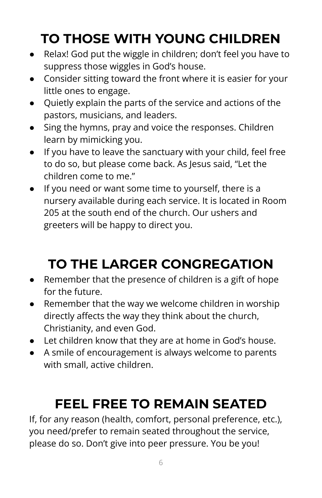# **TO THOSE WITH YOUNG CHILDREN**

- Relax! God put the wiggle in children; don't feel you have to suppress those wiggles in God's house.
- Consider sitting toward the front where it is easier for your little ones to engage.
- Quietly explain the parts of the service and actions of the pastors, musicians, and leaders.
- Sing the hymns, pray and voice the responses. Children learn by mimicking you.
- If you have to leave the sanctuary with your child, feel free to do so, but please come back. As Jesus said, "Let the children come to me."
- If you need or want some time to yourself, there is a nursery available during each service. It is located in Room 205 at the south end of the church. Our ushers and greeters will be happy to direct you.

# **TO THE LARGER CONGREGATION**

- Remember that the presence of children is a gift of hope for the future.
- Remember that the way we welcome children in worship directly affects the way they think about the church, Christianity, and even God.
- Let children know that they are at home in God's house.
- A smile of encouragement is always welcome to parents with small, active children.

# **FEEL FREE TO REMAIN SEATED**

If, for any reason (health, comfort, personal preference, etc.), you need/prefer to remain seated throughout the service, please do so. Don't give into peer pressure. You be you!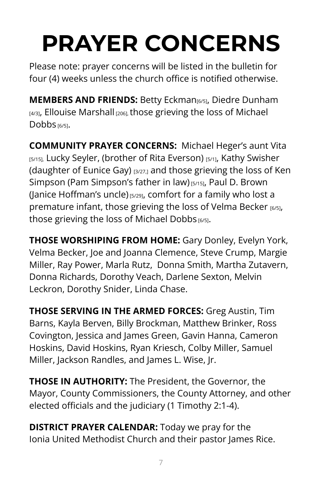# **PRAYER CONCERNS**

Please note: prayer concerns will be listed in the bulletin for four (4) weeks unless the church office is notified otherwise.

**MEMBERS AND FRIENDS:** Betty Eckman[6/5], Diedre Dunham [4/3], Ellouise Marshall [206], those grieving the loss of Michael Dobbs [6/5].

**COMMUNITY PRAYER CONCERNS:** Michael Heger's aunt Vita [5/15], Lucky Seyler, (brother of Rita Everson) [5/1], Kathy Swisher (daughter of Eunice Gay) [3/27,] and those grieving the loss of Ken Simpson (Pam Simpson's father in law) [5/15], Paul D. Brown (Janice Hoffman's uncle) [5/29], comfort for a family who lost a premature infant, those grieving the loss of Velma Becker [6/5], those grieving the loss of Michael Dobbs [6/5].

**THOSE WORSHIPING FROM HOME:** Gary Donley, Evelyn York, Velma Becker, Joe and Joanna Clemence, Steve Crump, Margie Miller, Ray Power, Marla Rutz, Donna Smith, Martha Zutavern, Donna Richards, Dorothy Veach, Darlene Sexton, Melvin Leckron, Dorothy Snider, Linda Chase.

**THOSE SERVING IN THE ARMED FORCES:** Greg Austin, Tim Barns, Kayla Berven, Billy Brockman, Matthew Brinker, Ross Covington, Jessica and James Green, Gavin Hanna, Cameron Hoskins, David Hoskins, Ryan Kriesch, Colby Miller, Samuel Miller, Jackson Randles, and James L. Wise, Jr.

**THOSE IN AUTHORITY:** The President, the Governor, the Mayor, County Commissioners, the County Attorney, and other elected officials and the judiciary (1 Timothy 2:1-4).

**DISTRICT PRAYER CALENDAR:** Today we pray for the Ionia United Methodist Church and their pastor James Rice.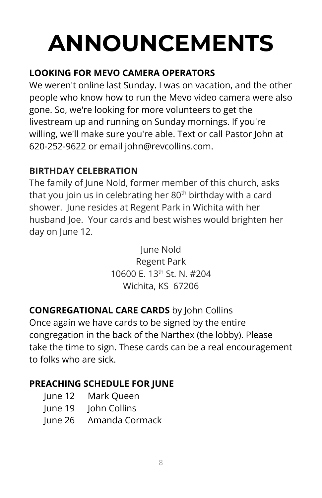# **ANNOUNCEMENTS**

### **LOOKING FOR MEVO CAMERA OPERATORS**

We weren't online last Sunday. I was on vacation, and the other people who know how to run the Mevo video camera were also gone. So, we're looking for more volunteers to get the livestream up and running on Sunday mornings. If you're willing, we'll make sure you're able. Text or call Pastor John at 620-252-9622 or email john@revcollins.com.

#### **BIRTHDAY CELEBRATION**

The family of June Nold, former member of this church, asks that you join us in celebrating her 80<sup>th</sup> birthday with a card shower. June resides at Regent Park in Wichita with her husband Joe. Your cards and best wishes would brighten her day on June 12.

> June Nold Regent Park 10600 E. 13<sup>th</sup> St. N. #204 Wichita, KS 67206

### **CONGREGATIONAL CARE CARDS** by John Collins

Once again we have cards to be signed by the entire congregation in the back of the Narthex (the lobby). Please take the time to sign. These cards can be a real encouragement to folks who are sick.

#### **PREACHING SCHEDULE FOR JUNE**

- June 12 Mark Queen
- June 19 John Collins
- June 26 Amanda Cormack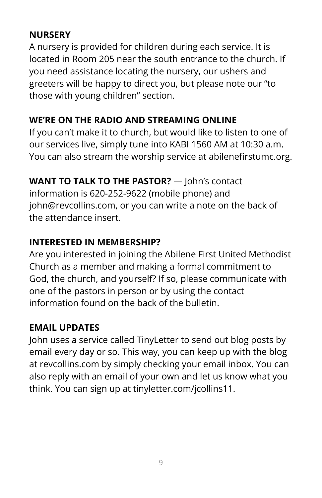#### **NURSERY**

A nursery is provided for children during each service. It is located in Room 205 near the south entrance to the church. If you need assistance locating the nursery, our ushers and greeters will be happy to direct you, but please note our "to those with young children" section.

### **WE'RE ON THE RADIO AND STREAMING ONLINE**

If you can't make it to church, but would like to listen to one of our services live, simply tune into KABI 1560 AM at 10:30 a.m. You can also stream the worship service at abilenefirstumc.org.

**WANT TO TALK TO THE PASTOR?** — John's contact

information is 620-252-9622 (mobile phone) and john@revcollins.com, or you can write a note on the back of the attendance insert.

#### **INTERESTED IN MEMBERSHIP?**

Are you interested in joining the Abilene First United Methodist Church as a member and making a formal commitment to God, the church, and yourself? If so, please communicate with one of the pastors in person or by using the contact information found on the back of the bulletin.

#### **EMAIL UPDATES**

John uses a service called TinyLetter to send out blog posts by email every day or so. This way, you can keep up with the blog at revcollins.com by simply checking your email inbox. You can also reply with an email of your own and let us know what you think. You can sign up at tinyletter.com/jcollins11.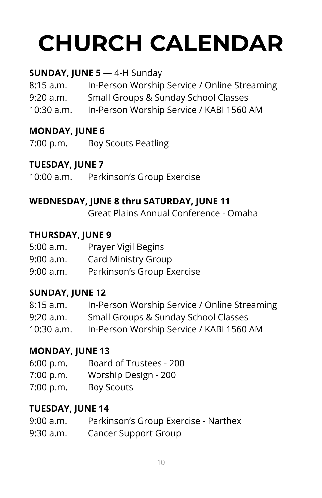# **CHURCH CALENDAR**

#### **SUNDAY, JUNE 5** — 4-H Sunday

8:15 a.m. In-Person Worship Service / Online Streaming 9:20 a.m. Small Groups & Sunday School Classes 10:30 a.m. In-Person Worship Service / KABI 1560 AM

#### **MONDAY, JUNE 6**

7:00 p.m. Boy Scouts Peatling

#### **TUESDAY, JUNE 7**

10:00 a.m. Parkinson's Group Exercise

#### **WEDNESDAY, JUNE 8 thru SATURDAY, JUNE 11**

Great Plains Annual Conference - Omaha

#### **THURSDAY, JUNE 9**

| 5:00 a.m. | Prayer Vigil Begins        |
|-----------|----------------------------|
| 9:00 a.m. | <b>Card Ministry Group</b> |
| 9:00 a.m. | Parkinson's Group Exercise |

#### **SUNDAY, JUNE 12**

| 8:15 a.m.    | In-Person Worship Service / Online Streaming |
|--------------|----------------------------------------------|
| 9:20 a.m.    | Small Groups & Sunday School Classes         |
| $10:30$ a.m. | In-Person Worship Service / KABI 1560 AM     |

#### **MONDAY, JUNE 13**

- 6:00 p.m. Board of Trustees 200
- 7:00 p.m. Worship Design 200
- 7:00 p.m. Boy Scouts

#### **TUESDAY, JUNE 14**

| 9:00 a.m.      | Parkinson's Group Exercise - Narthex |
|----------------|--------------------------------------|
| $0.20 \cdot m$ | Cancer Cunnart Croup                 |

9:30 a.m. Cancer Support Group